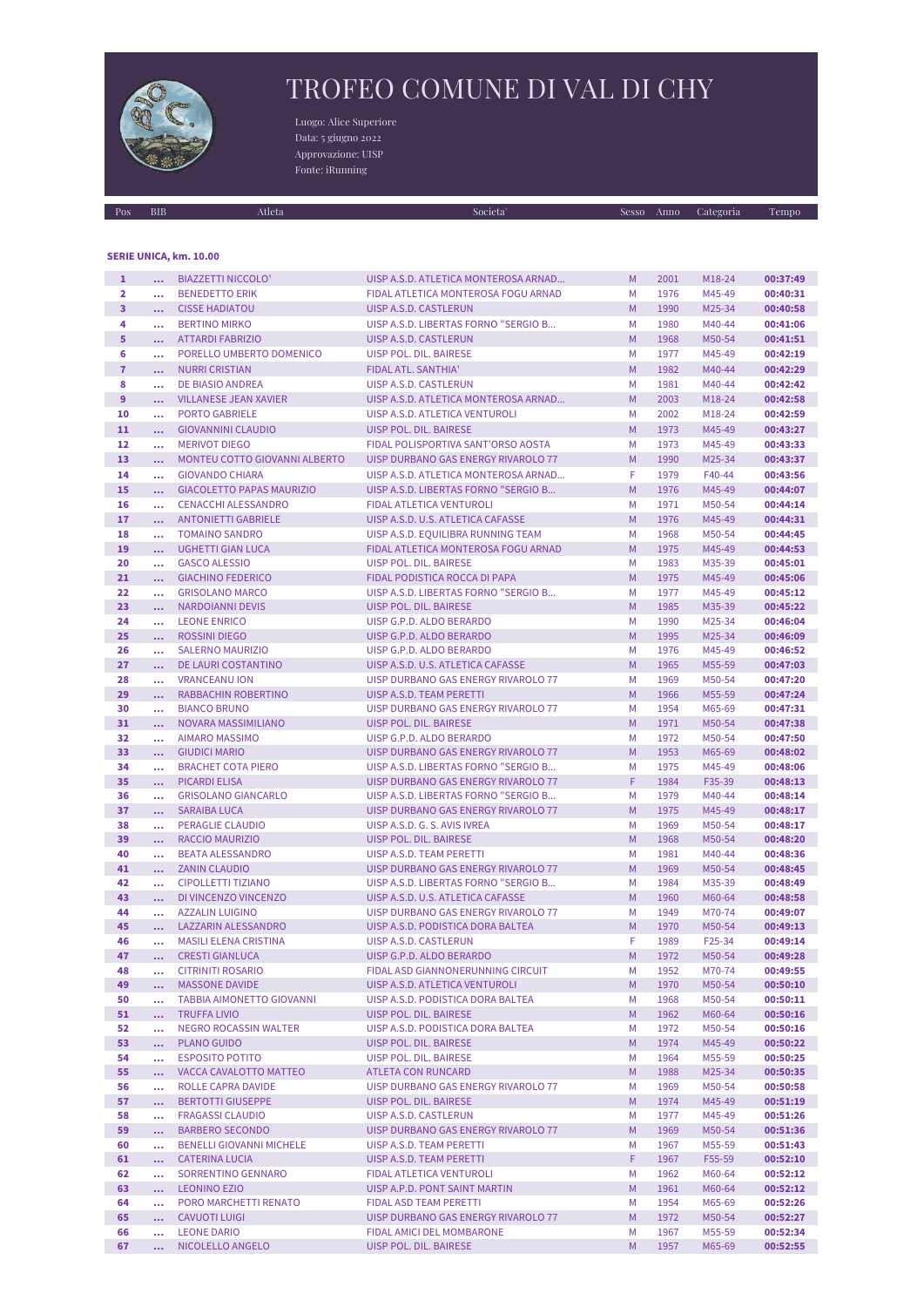

## TROFEO COMUNE DI VAL DI CHY

Luogo: Alice Superiore Data: 5 giugno 2022 Approvazione: UISP Fonte: iRunning

| Pos            | <b>BIB</b>           | Atleta                                                   | Societa'                                                       | <b>Sesso</b> | Anno         | Categoria        | Tempo                |
|----------------|----------------------|----------------------------------------------------------|----------------------------------------------------------------|--------------|--------------|------------------|----------------------|
|                |                      |                                                          |                                                                |              |              |                  |                      |
|                |                      |                                                          |                                                                |              |              |                  |                      |
|                |                      | SERIE UNICA, km. 10.00                                   |                                                                |              |              |                  |                      |
| $\mathbf{1}$   |                      | <b>BIAZZETTI NICCOLO'</b>                                | UISP A.S.D. ATLETICA MONTEROSA ARNAD                           | M            | 2001         | M18-24           | 00:37:49             |
| $\overline{2}$ | $\cdots$             | <b>BENEDETTO ERIK</b>                                    | FIDAL ATLETICA MONTEROSA FOGU ARNAD                            | M            | 1976         | M45-49           | 00:40:31             |
| 3              |                      | <b>CISSE HADIATOU</b>                                    | UISP A.S.D. CASTLERUN                                          | M            | 1990         | M25-34           | 00:40:58             |
| 4              |                      | <b>BERTINO MIRKO</b>                                     | UISP A.S.D. LIBERTAS FORNO "SERGIO B                           | M            | 1980         | M40-44           | 00:41:06             |
| 5              |                      | <b>ATTARDI FABRIZIO</b>                                  | UISP A.S.D. CASTLERUN                                          | M            | 1968         | M50-54           | 00:41:51             |
| 6              | $\cdots$             | PORELLO UMBERTO DOMENICO                                 | UISP POL. DIL. BAIRESE                                         | M            | 1977         | M45-49           | 00:42:19             |
| $\overline{7}$ | $\cdots$             | <b>NURRI CRISTIAN</b>                                    | FIDAL ATL. SANTHIA'                                            | M            | 1982         | M40-44           | 00:42:29             |
| 8              | $\cdots$             | <b>DE BIASIO ANDREA</b>                                  | UISP A.S.D. CASTLERUN                                          | M            | 1981         | M40-44           | 00:42:42             |
| 9              |                      | <b>VILLANESE JEAN XAVIER</b>                             | UISP A.S.D. ATLETICA MONTEROSA ARNAD                           | M            | 2003         | M18-24           | 00:42:58             |
| 10             | $\cdots$<br>$\cdots$ | <b>PORTO GABRIELE</b>                                    | UISP A.S.D. ATLETICA VENTUROLI                                 | M            | 2002         | M18-24           | 00:42:59             |
| 11             |                      | <b>GIOVANNINI CLAUDIO</b>                                | UISP POL. DIL. BAIRESE                                         | M            | 1973         | M45-49           | 00:43:27             |
| 12             |                      | <b>MERIVOT DIEGO</b>                                     | FIDAL POLISPORTIVA SANT'ORSO AOSTA                             | M            | 1973         | M45-49           | 00:43:33             |
| 13             | $\cdots$             |                                                          | UISP DURBANO GAS ENERGY RIVAROLO 77                            | M            | 1990         |                  |                      |
|                | $\cdots$             | MONTEU COTTO GIOVANNI ALBERTO                            |                                                                | F            |              | M25-34           | 00:43:37             |
| 14             | $\cdots$             | <b>GIOVANDO CHIARA</b>                                   | UISP A.S.D. ATLETICA MONTEROSA ARNAD                           |              | 1979         | F40-44           | 00:43:56             |
| 15             |                      | <b>GIACOLETTO PAPAS MAURIZIO</b>                         | UISP A.S.D. LIBERTAS FORNO "SERGIO B                           | M            | 1976         | M45-49           | 00:44:07             |
| 16             |                      | <b>CENACCHI ALESSANDRO</b><br><b>ANTONIETTI GABRIELE</b> | FIDAL ATLETICA VENTUROLI<br>UISP A.S.D. U.S. ATLETICA CAFASSE  | M            | 1971         | M50-54           | 00:44:14             |
| 17             | $\cdots$             | <b>TOMAINO SANDRO</b>                                    |                                                                | M            | 1976         | M45-49           | 00:44:31             |
| 18             |                      |                                                          | UISP A.S.D. EQUILIBRA RUNNING TEAM                             | M            | 1968         | M50-54           | 00:44:45             |
| 19             |                      | <b>UGHETTI GIAN LUCA</b>                                 | FIDAL ATLETICA MONTEROSA FOGU ARNAD                            | M            | 1975         | M45-49           | 00:44:53             |
| 20<br>21       | $\cdots$             | <b>GASCO ALESSIO</b>                                     | UISP POL. DIL. BAIRESE<br><b>FIDAL PODISTICA ROCCA DI PAPA</b> | M<br>M       | 1983         | M35-39           | 00:45:01             |
|                | $\cdots$             | <b>GIACHINO FEDERICO</b>                                 | UISP A.S.D. LIBERTAS FORNO "SERGIO B                           | M            | 1975         | M45-49           | 00:45:06             |
| 22<br>23       | $\cdots$             | <b>GRISOLANO MARCO</b><br><b>NARDOIANNI DEVIS</b>        | UISP POL. DIL. BAIRESE                                         | M            | 1977<br>1985 | M45-49<br>M35-39 | 00:45:12<br>00:45:22 |
| 24             | $\ddotsc$            |                                                          | UISP G.P.D. ALDO BERARDO                                       | M            | 1990         | M25-34           |                      |
| 25             | $\cdots$             | <b>LEONE ENRICO</b><br><b>ROSSINI DIEGO</b>              | UISP G.P.D. ALDO BERARDO                                       | M            | 1995         | M25-34           | 00:46:04<br>00:46:09 |
| 26             | $\cdots$             | <b>SALERNO MAURIZIO</b>                                  | UISP G.P.D. ALDO BERARDO                                       | M            | 1976         | M45-49           | 00:46:52             |
| 27             | $\cdots$<br>         | DE LAURI COSTANTINO                                      | UISP A.S.D. U.S. ATLETICA CAFASSE                              | M            | 1965         | M55-59           | 00:47:03             |
| 28             | $\ddotsc$            | <b>VRANCEANU ION</b>                                     | UISP DURBANO GAS ENERGY RIVAROLO 77                            | M            | 1969         | M50-54           | 00:47:20             |
| 29             |                      | RABBACHIN ROBERTINO                                      | UISP A.S.D. TEAM PERETTI                                       | M            | 1966         | M55-59           | 00:47:24             |
| 30             | $\cdots$<br>         | <b>BIANCO BRUNO</b>                                      | UISP DURBANO GAS ENERGY RIVAROLO 77                            | M            | 1954         | M65-69           | 00:47:31             |
| 31             | $\cdots$             | NOVARA MASSIMILIANO                                      | UISP POL. DIL. BAIRESE                                         | M            | 1971         | M50-54           | 00:47:38             |
| 32             | $\cdots$             | <b>AIMARO MASSIMO</b>                                    | UISP G.P.D. ALDO BERARDO                                       | M            | 1972         | M50-54           | 00:47:50             |
| 33             | $\cdots$             | <b>GIUDICI MARIO</b>                                     | UISP DURBANO GAS ENERGY RIVAROLO 77                            | M            | 1953         | M65-69           | 00:48:02             |
| 34             |                      | <b>BRACHET COTA PIERO</b>                                | UISP A.S.D. LIBERTAS FORNO "SERGIO B                           | M            | 1975         | M45-49           | 00:48:06             |
| 35             |                      | <b>PICARDI ELISA</b>                                     | UISP DURBANO GAS ENERGY RIVAROLO 77                            | F            | 1984         | F35-39           | 00:48:13             |
| 36             | $\cdots$             | <b>GRISOLANO GIANCARLO</b>                               | UISP A.S.D. LIBERTAS FORNO "SERGIO B                           | M            | 1979         | M40-44           | 00:48:14             |
| 37             | $\cdots$             | <b>SARAIBA LUCA</b>                                      | UISP DURBANO GAS ENERGY RIVAROLO 77                            | M            | 1975         | M45-49           | 00:48:17             |
| 38             |                      | PERAGLIE CLAUDIO                                         | UISP A.S.D. G. S. AVIS IVREA                                   | M            | 1969         | M50-54           | 00:48:17             |
| 39             | $\ddotsc$            | <b>RACCIO MAURIZIO</b>                                   | <b>UISP POL. DIL. BAIRESE</b>                                  | M            | 1968         | M50-54           | 00:48:20             |
| 40             | $\cdots$             | <b>BEATA ALESSANDRO</b>                                  | UISP A.S.D. TEAM PERETTI                                       | М            | 1981         | M40-44           | 00:48:36             |
| 41             | $\ddotsc$            | <b>ZANIN CLAUDIO</b>                                     | UISP DURBANO GAS ENERGY RIVAROLO 77                            | M            | 1969         | M50-54           | 00:48:45             |
| 42             | $\cdots$             | <b>CIPOLLETTI TIZIANO</b>                                | UISP A.S.D. LIBERTAS FORNO "SERGIO B                           | M            | 1984         | M35-39           | 00:48:49             |
| 43             |                      | DI VINCENZO VINCENZO                                     | UISP A.S.D. U.S. ATLETICA CAFASSE                              | M            | 1960         | M60-64           | 00:48:58             |
| 44             |                      | <b>AZZALIN LUIGINO</b>                                   | UISP DURBANO GAS ENERGY RIVAROLO 77                            | М            | 1949         | M70-74           | 00:49:07             |
| 45             |                      | LAZZARIN ALESSANDRO                                      | UISP A.S.D. PODISTICA DORA BALTEA                              | M            | 1970         | M50-54           | 00:49:13             |
| 46             | $\cdots$             | <b>MASILI ELENA CRISTINA</b>                             | UISP A.S.D. CASTLERUN                                          | F            | 1989         | F25-34           | 00:49:14             |
| 47             | $\cdots$             | <b>CRESTI GIANLUCA</b>                                   | UISP G.P.D. ALDO BERARDO                                       | M            | 1972         | M50-54           | 00:49:28             |
| 48             | $\cdots$             | <b>CITRINITI ROSARIO</b>                                 | FIDAL ASD GIANNONERUNNING CIRCUIT                              | M            | 1952         | M70-74           | 00:49:55             |
| 49             | $\cdots$             | <b>MASSONE DAVIDE</b>                                    | UISP A.S.D. ATLETICA VENTUROLI                                 | M            | 1970         | M50-54           | 00:50:10             |
| 50             |                      | <b>TABBIA AIMONETTO GIOVANNI</b>                         | UISP A.S.D. PODISTICA DORA BALTEA                              | М            | 1968         | M50-54           | 00:50:11             |
| 51             | $\cdots$             | <b>TRUFFA LIVIO</b>                                      | UISP POL. DIL. BAIRESE                                         | M            | 1962         | M60-64           | 00:50:16             |
| 52             | $\cdots$             | NEGRO ROCASSIN WALTER                                    | UISP A.S.D. PODISTICA DORA BALTEA                              | М            | 1972         | M50-54           | 00:50:16             |
| 53             | $\cdots$             | <b>PLANO GUIDO</b>                                       | UISP POL. DIL. BAIRESE                                         | M            | 1974         | M45-49           | 00:50:22             |
| 54             | $\cdots$             | <b>ESPOSITO POTITO</b>                                   | UISP POL. DIL. BAIRESE                                         | М            | 1964         | M55-59           | 00:50:25             |
| 55             | $\cdots$             | VACCA CAVALOTTO MATTEO                                   | <b>ATLETA CON RUNCARD</b>                                      | M            | 1988         | M25-34           | 00:50:35             |
| 56             | $\cdots$             | ROLLE CAPRA DAVIDE                                       | UISP DURBANO GAS ENERGY RIVAROLO 77                            | М            | 1969         | M50-54           | 00:50:58             |
| 57             | $\cdots$             | <b>BERTOTTI GIUSEPPE</b>                                 | UISP POL. DIL. BAIRESE                                         | M            | 1974         | M45-49           | 00:51:19             |
| 58             | $\cdots$             | <b>FRAGASSI CLAUDIO</b>                                  | UISP A.S.D. CASTLERUN                                          | М            | 1977         | M45-49           | 00:51:26             |
| 59             | $\cdots$             | <b>BARBERO SECONDO</b>                                   | UISP DURBANO GAS ENERGY RIVAROLO 77                            | M            | 1969         | M50-54           | 00:51:36             |
| 60             | $\cdots$             | <b>BENELLI GIOVANNI MICHELE</b>                          | UISP A.S.D. TEAM PERETTI                                       | М            | 1967         | M55-59           | 00:51:43             |
| 61             | $\cdots$             | <b>CATERINA LUCIA</b>                                    | UISP A.S.D. TEAM PERETTI                                       | F            | 1967         | F55-59           | 00:52:10             |
| 62             | $\cdots$             | SORRENTINO GENNARO                                       | FIDAL ATLETICA VENTUROLI                                       | М            | 1962         | M60-64           | 00:52:12             |
| 63             | $\cdots$             | <b>LEONINO EZIO</b>                                      | UISP A.P.D. PONT SAINT MARTIN                                  | M            | 1961         | M60-64           | 00:52:12             |
| 64             | $\cdots$             | PORO MARCHETTI RENATO                                    | FIDAL ASD TEAM PERETTI                                         | М            | 1954         | M65-69           | 00:52:26             |
| 65             | $\cdots$             | <b>CAVUOTI LUIGI</b>                                     | UISP DURBANO GAS ENERGY RIVAROLO 77                            | M            | 1972         | M50-54           | 00:52:27             |
| 66             | $\cdots$             | <b>LEONE DARIO</b>                                       | FIDAL AMICI DEL MOMBARONE                                      | M            | 1967         | M55-59           | 00:52:34             |
| 67             | $\ldots$ .           | NICOLELLO ANGELO                                         | UISP POL. DIL. BAIRESE                                         | M            | 1957         | M65-69           | 00:52:55             |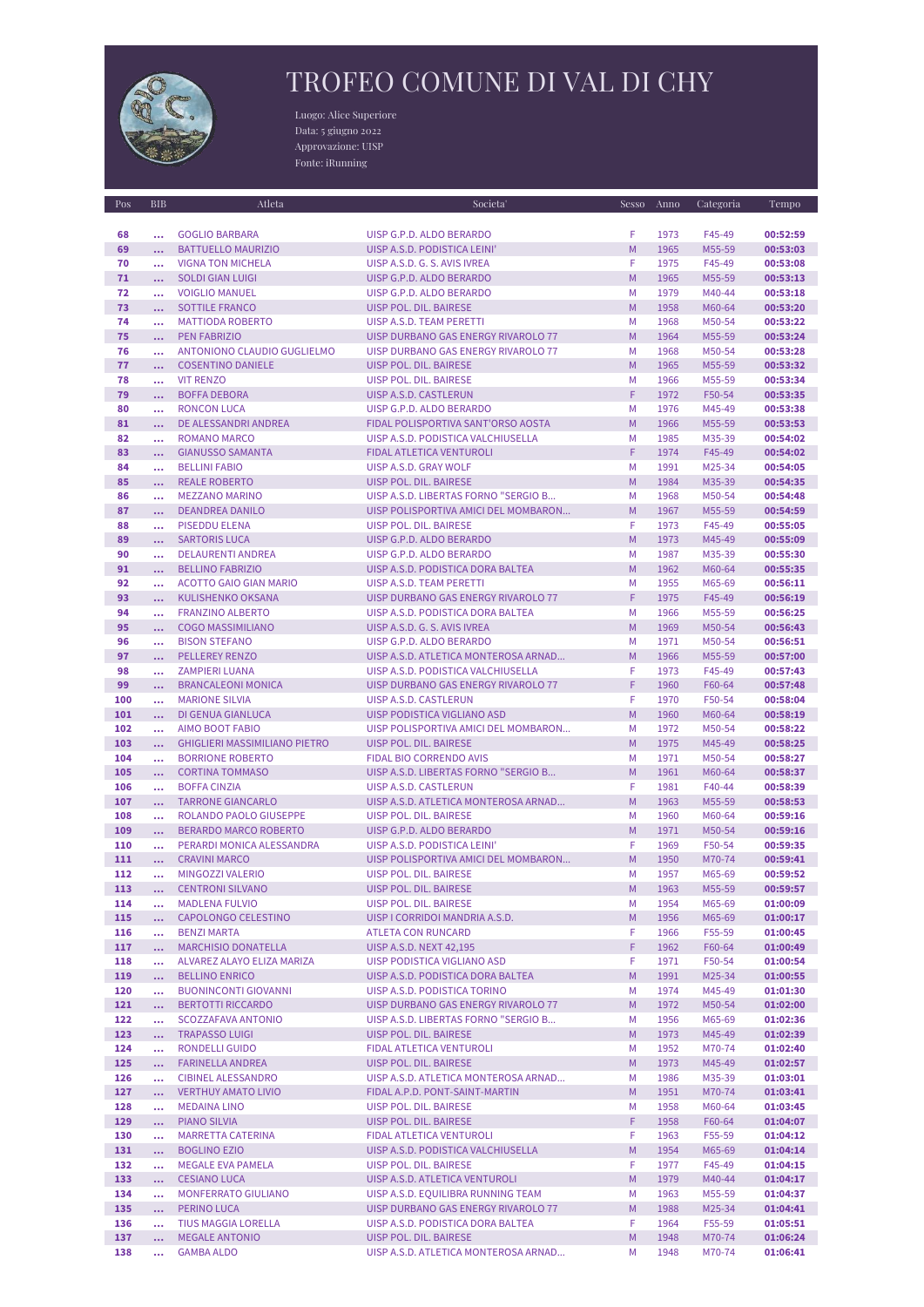

## TROFEO COMUNE DI VAL DI CHY

Luogo: Alice Superiore Data: 5 giugno 2022 Approvazione: UISP Fonte: iRunning

| Pos | <b>BIB</b> | Atleta                               | Societa'                             | Sesso | Anno | Categoria | Tempo    |
|-----|------------|--------------------------------------|--------------------------------------|-------|------|-----------|----------|
|     |            |                                      |                                      |       |      |           |          |
| 68  | $\cdots$   | <b>GOGLIO BARBARA</b>                | UISP G.P.D. ALDO BERARDO             | F     | 1973 | F45-49    | 00:52:59 |
| 69  | $\ddotsc$  | <b>BATTUELLO MAURIZIO</b>            | UISP A.S.D. PODISTICA LEINI'         | M     | 1965 | M55-59    | 00:53:03 |
| 70  | $\cdots$   | <b>VIGNA TON MICHELA</b>             | UISP A.S.D. G. S. AVIS IVREA         | F     | 1975 | F45-49    | 00:53:08 |
| 71  | $\ddotsc$  | <b>SOLDI GIAN LUIGI</b>              | UISP G.P.D. ALDO BERARDO             | M     | 1965 | M55-59    | 00:53:13 |
| 72  | $\cdots$   | <b>VOIGLIO MANUEL</b>                | UISP G.P.D. ALDO BERARDO             | M     | 1979 | M40-44    | 00:53:18 |
| 73  | $\ddotsc$  | <b>SOTTILE FRANCO</b>                | UISP POL. DIL. BAIRESE               | M     | 1958 | M60-64    | 00:53:20 |
| 74  |            | <b>MATTIODA ROBERTO</b>              | UISP A.S.D. TEAM PERETTI             | M     | 1968 | M50-54    | 00:53:22 |
| 75  | $\cdots$   | <b>PEN FABRIZIO</b>                  | UISP DURBANO GAS ENERGY RIVAROLO 77  | M     | 1964 | M55-59    | 00:53:24 |
| 76  | $\cdots$   | ANTONIONO CLAUDIO GUGLIELMO          | UISP DURBANO GAS ENERGY RIVAROLO 77  | M     | 1968 | M50-54    | 00:53:28 |
| 77  |            | <b>COSENTINO DANIELE</b>             | UISP POL. DIL. BAIRESE               | M     | 1965 | M55-59    | 00:53:32 |
| 78  | $\cdots$   | <b>VIT RENZO</b>                     | UISP POL. DIL. BAIRESE               | M     | 1966 | M55-59    | 00:53:34 |
|     | $\cdots$   |                                      |                                      | F     |      |           |          |
| 79  | $\ddotsc$  | <b>BOFFA DEBORA</b>                  | UISP A.S.D. CASTLERUN                |       | 1972 | F50-54    | 00:53:35 |
| 80  | $\cdots$   | <b>RONCON LUCA</b>                   | UISP G.P.D. ALDO BERARDO             | M     | 1976 | M45-49    | 00:53:38 |
| 81  | $\cdots$   | DE ALESSANDRI ANDREA                 | FIDAL POLISPORTIVA SANT'ORSO AOSTA   | M     | 1966 | M55-59    | 00:53:53 |
| 82  | $\cdots$   | <b>ROMANO MARCO</b>                  | UISP A.S.D. PODISTICA VALCHIUSELLA   | M     | 1985 | M35-39    | 00:54:02 |
| 83  |            | <b>GIANUSSO SAMANTA</b>              | FIDAL ATLETICA VENTUROLI             | F     | 1974 | F45-49    | 00:54:02 |
| 84  | $\cdots$   | <b>BELLINI FABIO</b>                 | UISP A.S.D. GRAY WOLF                | M     | 1991 | M25-34    | 00:54:05 |
| 85  | $\cdots$   | <b>REALE ROBERTO</b>                 | UISP POL. DIL. BAIRESE               | M     | 1984 | M35-39    | 00:54:35 |
| 86  | $\cdots$   | <b>MEZZANO MARINO</b>                | UISP A.S.D. LIBERTAS FORNO "SERGIO B | M     | 1968 | M50-54    | 00:54:48 |
| 87  | $\ddotsc$  | <b>DEANDREA DANILO</b>               | UISP POLISPORTIVA AMICI DEL MOMBARON | M     | 1967 | M55-59    | 00:54:59 |
| 88  | $\cdots$   | <b>PISEDDU ELENA</b>                 | <b>UISP POL. DIL. BAIRESE</b>        | F     | 1973 | F45-49    | 00:55:05 |
| 89  | $\ddotsc$  | <b>SARTORIS LUCA</b>                 | UISP G.P.D. ALDO BERARDO             | M     | 1973 | M45-49    | 00:55:09 |
| 90  |            | <b>DELAURENTI ANDREA</b>             | UISP G.P.D. ALDO BERARDO             | M     | 1987 | M35-39    | 00:55:30 |
| 91  |            | <b>BELLINO FABRIZIO</b>              | UISP A.S.D. PODISTICA DORA BALTEA    | M     | 1962 | M60-64    | 00:55:35 |
| 92  | $\cdots$   | <b>ACOTTO GAIO GIAN MARIO</b>        | UISP A.S.D. TEAM PERETTI             | M     | 1955 | M65-69    | 00:56:11 |
| 93  | $\cdots$   | <b>KULISHENKO OKSANA</b>             | UISP DURBANO GAS ENERGY RIVAROLO 77  | F     | 1975 | F45-49    | 00:56:19 |
| 94  | $\cdots$   | <b>FRANZINO ALBERTO</b>              | UISP A.S.D. PODISTICA DORA BALTEA    | M     | 1966 | M55-59    | 00:56:25 |
| 95  | $\ddotsc$  | <b>COGO MASSIMILIANO</b>             | UISP A.S.D. G. S. AVIS IVREA         | M     | 1969 | M50-54    | 00:56:43 |
| 96  | $\cdots$   | <b>BISON STEFANO</b>                 | UISP G.P.D. ALDO BERARDO             | M     | 1971 | M50-54    | 00:56:51 |
| 97  | $\ddotsc$  | <b>PELLEREY RENZO</b>                | UISP A.S.D. ATLETICA MONTEROSA ARNAD | M     | 1966 | M55-59    | 00:57:00 |
| 98  |            | <b>ZAMPIERI LUANA</b>                | UISP A.S.D. PODISTICA VALCHIUSELLA   | F     | 1973 | F45-49    | 00:57:43 |
|     | $\cdots$   |                                      |                                      | F     |      |           |          |
| 99  |            | <b>BRANCALEONI MONICA</b>            | UISP DURBANO GAS ENERGY RIVAROLO 77  |       | 1960 | F60-64    | 00:57:48 |
| 100 | $\cdots$   | <b>MARIONE SILVIA</b>                | UISP A.S.D. CASTLERUN                | F     | 1970 | F50-54    | 00:58:04 |
| 101 | $\ddotsc$  | <b>DI GENUA GIANLUCA</b>             | UISP PODISTICA VIGLIANO ASD          | M     | 1960 | M60-64    | 00:58:19 |
| 102 | $\cdots$   | <b>AIMO BOOT FABIO</b>               | UISP POLISPORTIVA AMICI DEL MOMBARON | M     | 1972 | M50-54    | 00:58:22 |
| 103 | $\cdots$   | <b>GHIGLIERI MASSIMILIANO PIETRO</b> | UISP POL. DIL. BAIRESE               | M     | 1975 | M45-49    | 00:58:25 |
| 104 |            | <b>BORRIONE ROBERTO</b>              | FIDAL BIO CORRENDO AVIS              | M     | 1971 | M50-54    | 00:58:27 |
| 105 | $\cdots$   | <b>CORTINA TOMMASO</b>               | UISP A.S.D. LIBERTAS FORNO "SERGIO B | M     | 1961 | M60-64    | 00:58:37 |
| 106 |            | <b>BOFFA CINZIA</b>                  | UISP A.S.D. CASTLERUN                | F     | 1981 | F40-44    | 00:58:39 |
| 107 | $\cdots$   | <b>TARRONE GIANCARLO</b>             | UISP A.S.D. ATLETICA MONTEROSA ARNAD | M     | 1963 | M55-59    | 00:58:53 |
| 108 | $\cdots$   | ROLANDO PAOLO GIUSEPPE               | UISP POL. DIL. BAIRESE               | M     | 1960 | M60-64    | 00:59:16 |
| 109 | $\cdots$   | <b>BERARDO MARCO ROBERTO</b>         | UISP G.P.D. ALDO BERARDO             | M     | 1971 | M50-54    | 00:59:16 |
| 110 | $\cdots$   | PERARDI MONICA ALESSANDRA            | UISP A.S.D. PODISTICA LEINI'         | F     | 1969 | F50-54    | 00:59:35 |
| 111 | $\cdots$   | <b>CRAVINI MARCO</b>                 | UISP POLISPORTIVA AMICI DEL MOMBARON | M     | 1950 | M70-74    | 00:59:41 |
| 112 | $\cdots$   | MINGOZZI VALERIO                     | UISP POL. DIL. BAIRESE               | M     | 1957 | M65-69    | 00:59:52 |
| 113 | $\ddotsc$  | <b>CENTRONI SILVANO</b>              | UISP POL. DIL. BAIRESE               | M     | 1963 | M55-59    | 00:59:57 |
| 114 | $\cdots$   | <b>MADLENA FULVIO</b>                | UISP POL. DIL. BAIRESE               | M     | 1954 | M65-69    | 01:00:09 |
| 115 | $\cdots$   | CAPOLONGO CELESTINO                  | UISP I CORRIDOI MANDRIA A.S.D.       | M     | 1956 | M65-69    | 01:00:17 |
| 116 | $\cdots$   | <b>BENZI MARTA</b>                   | ATLETA CON RUNCARD                   | F     | 1966 | F55-59    | 01:00:45 |
| 117 | $\cdots$   | <b>MARCHISIO DONATELLA</b>           | <b>UISP A.S.D. NEXT 42,195</b>       | F     | 1962 | F60-64    | 01:00:49 |
| 118 | $\cdots$   | ALVAREZ ALAYO ELIZA MARIZA           | UISP PODISTICA VIGLIANO ASD          | F     | 1971 | F50-54    | 01:00:54 |
| 119 | $\cdots$   | <b>BELLINO ENRICO</b>                | UISP A.S.D. PODISTICA DORA BALTEA    | M     | 1991 | M25-34    | 01:00:55 |
| 120 |            | <b>BUONINCONTI GIOVANNI</b>          | UISP A.S.D. PODISTICA TORINO         | M     | 1974 | M45-49    | 01:01:30 |
| 121 | $\cdots$   | <b>BERTOTTI RICCARDO</b>             | UISP DURBANO GAS ENERGY RIVAROLO 77  | M     | 1972 | M50-54    | 01:02:00 |
| 122 | $\cdots$   | SCOZZAFAVA ANTONIO                   | UISP A.S.D. LIBERTAS FORNO "SERGIO B | M     | 1956 | M65-69    | 01:02:36 |
| 123 |            | <b>TRAPASSO LUIGI</b>                | UISP POL. DIL. BAIRESE               | M     | 1973 | M45-49    | 01:02:39 |
|     |            | <b>RONDELLI GUIDO</b>                | FIDAL ATLETICA VENTUROLI             | M     | 1952 |           |          |
| 124 | $\cdots$   |                                      |                                      |       |      | M70-74    | 01:02:40 |
| 125 | $\cdots$   | FARINELLA ANDREA                     | UISP POL. DIL. BAIRESE               | M     | 1973 | M45-49    | 01:02:57 |
| 126 | $\cdots$   | CIBINEL ALESSANDRO                   | UISP A.S.D. ATLETICA MONTEROSA ARNAD | M     | 1986 | M35-39    | 01:03:01 |
| 127 | $\cdots$   | <b>VERTHUY AMATO LIVIO</b>           | FIDAL A.P.D. PONT-SAINT-MARTIN       | M     | 1951 | M70-74    | 01:03:41 |
| 128 | $\cdots$   | <b>MEDAINA LINO</b>                  | UISP POL. DIL. BAIRESE               | M     | 1958 | M60-64    | 01:03:45 |
| 129 | $\cdots$   | PIANO SILVIA                         | UISP POL. DIL. BAIRESE               | F     | 1958 | F60-64    | 01:04:07 |
| 130 | $\cdots$   | <b>MARRETTA CATERINA</b>             | FIDAL ATLETICA VENTUROLI             | F     | 1963 | F55-59    | 01:04:12 |
| 131 | $\cdots$   | <b>BOGLINO EZIO</b>                  | UISP A.S.D. PODISTICA VALCHIUSELLA   | M     | 1954 | M65-69    | 01:04:14 |
| 132 | $\cdots$   | MEGALE EVA PAMELA                    | UISP POL. DIL. BAIRESE               | F     | 1977 | F45-49    | 01:04:15 |
| 133 | $\cdots$   | <b>CESIANO LUCA</b>                  | UISP A.S.D. ATLETICA VENTUROLI       | M     | 1979 | M40-44    | 01:04:17 |
| 134 | $\cdots$   | <b>MONFERRATO GIULIANO</b>           | UISP A.S.D. EQUILIBRA RUNNING TEAM   | M     | 1963 | M55-59    | 01:04:37 |
| 135 | $\cdots$   | PERINO LUCA                          | UISP DURBANO GAS ENERGY RIVAROLO 77  | M     | 1988 | M25-34    | 01:04:41 |
| 136 | $\cdots$   | TIUS MAGGIA LORELLA                  | UISP A.S.D. PODISTICA DORA BALTEA    | F     | 1964 | F55-59    | 01:05:51 |
| 137 | $\ddotsc$  | <b>MEGALE ANTONIO</b>                | UISP POL. DIL. BAIRESE               | M     | 1948 | M70-74    | 01:06:24 |
| 138 | $\ddotsc$  | <b>GAMBA ALDO</b>                    | UISP A.S.D. ATLETICA MONTEROSA ARNAD | M     | 1948 | M70-74    | 01:06:41 |